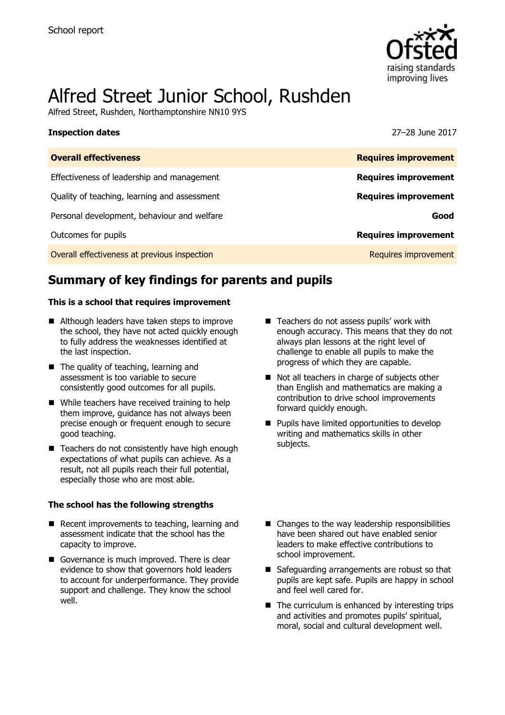

# Alfred Street Junior School, Rushden

Alfred Street, Rushden, Northamptonshire NN10 9YS

| <b>Inspection dates</b>                      | 27–28 June 2017             |
|----------------------------------------------|-----------------------------|
| <b>Overall effectiveness</b>                 | <b>Requires improvement</b> |
| Effectiveness of leadership and management   | <b>Requires improvement</b> |
| Quality of teaching, learning and assessment | <b>Requires improvement</b> |
| Personal development, behaviour and welfare  | Good                        |
| Outcomes for pupils                          | <b>Requires improvement</b> |
| Overall effectiveness at previous inspection | Requires improvement        |

# **Summary of key findings for parents and pupils**

### **This is a school that requires improvement**

- Although leaders have taken steps to improve the school, they have not acted quickly enough to fully address the weaknesses identified at the last inspection.
- The quality of teaching, learning and assessment is too variable to secure consistently good outcomes for all pupils.
- While teachers have received training to help them improve, guidance has not always been precise enough or frequent enough to secure good teaching.
- $\blacksquare$  Teachers do not consistently have high enough expectations of what pupils can achieve. As a result, not all pupils reach their full potential, especially those who are most able.

### **The school has the following strengths**

- $\blacksquare$  Recent improvements to teaching, learning and assessment indicate that the school has the capacity to improve.
- Governance is much improved. There is clear evidence to show that governors hold leaders to account for underperformance. They provide support and challenge. They know the school well.
- Teachers do not assess pupils' work with enough accuracy. This means that they do not always plan lessons at the right level of challenge to enable all pupils to make the progress of which they are capable.
- Not all teachers in charge of subjects other than English and mathematics are making a contribution to drive school improvements forward quickly enough.
- **Pupils have limited opportunities to develop** writing and mathematics skills in other subjects.
- Changes to the way leadership responsibilities have been shared out have enabled senior leaders to make effective contributions to school improvement.
- Safeguarding arrangements are robust so that pupils are kept safe. Pupils are happy in school and feel well cared for.
- $\blacksquare$  The curriculum is enhanced by interesting trips and activities and promotes pupils' spiritual, moral, social and cultural development well.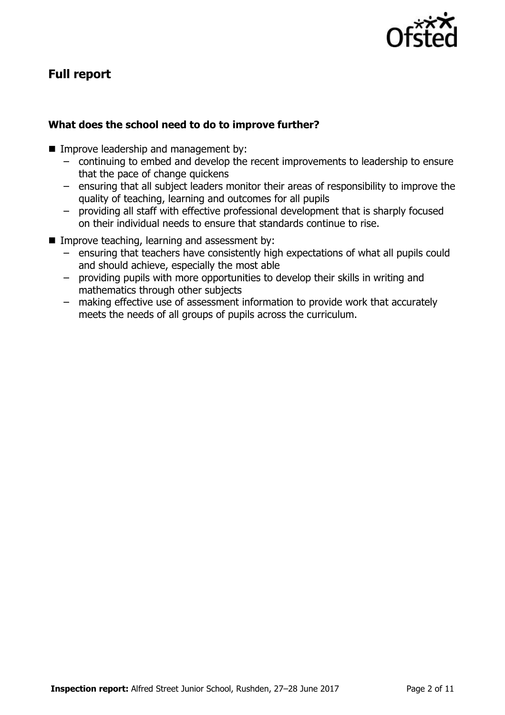

# **Full report**

### **What does the school need to do to improve further?**

- **Improve leadership and management by:** 
	- continuing to embed and develop the recent improvements to leadership to ensure that the pace of change quickens
	- ensuring that all subject leaders monitor their areas of responsibility to improve the quality of teaching, learning and outcomes for all pupils
	- providing all staff with effective professional development that is sharply focused on their individual needs to ensure that standards continue to rise.
- $\blacksquare$  Improve teaching, learning and assessment by:
	- ensuring that teachers have consistently high expectations of what all pupils could and should achieve, especially the most able
	- providing pupils with more opportunities to develop their skills in writing and mathematics through other subjects
	- making effective use of assessment information to provide work that accurately meets the needs of all groups of pupils across the curriculum.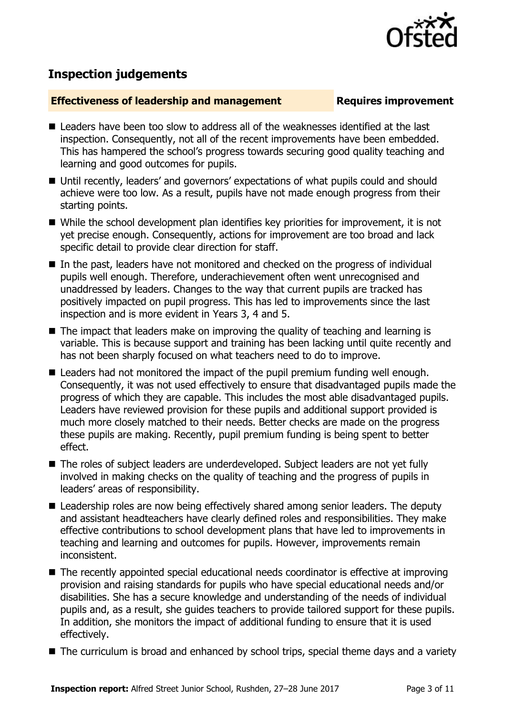

# **Inspection judgements**

### **Effectiveness of leadership and management Requires improvement**

- Leaders have been too slow to address all of the weaknesses identified at the last inspection. Consequently, not all of the recent improvements have been embedded. This has hampered the school's progress towards securing good quality teaching and learning and good outcomes for pupils.
- Until recently, leaders' and governors' expectations of what pupils could and should achieve were too low. As a result, pupils have not made enough progress from their starting points.
- While the school development plan identifies key priorities for improvement, it is not yet precise enough. Consequently, actions for improvement are too broad and lack specific detail to provide clear direction for staff.
- In the past, leaders have not monitored and checked on the progress of individual pupils well enough. Therefore, underachievement often went unrecognised and unaddressed by leaders. Changes to the way that current pupils are tracked has positively impacted on pupil progress. This has led to improvements since the last inspection and is more evident in Years 3, 4 and 5.
- $\blacksquare$  The impact that leaders make on improving the quality of teaching and learning is variable. This is because support and training has been lacking until quite recently and has not been sharply focused on what teachers need to do to improve.
- Leaders had not monitored the impact of the pupil premium funding well enough. Consequently, it was not used effectively to ensure that disadvantaged pupils made the progress of which they are capable. This includes the most able disadvantaged pupils. Leaders have reviewed provision for these pupils and additional support provided is much more closely matched to their needs. Better checks are made on the progress these pupils are making. Recently, pupil premium funding is being spent to better effect.
- The roles of subject leaders are underdeveloped. Subject leaders are not vet fully involved in making checks on the quality of teaching and the progress of pupils in leaders' areas of responsibility.
- Leadership roles are now being effectively shared among senior leaders. The deputy and assistant headteachers have clearly defined roles and responsibilities. They make effective contributions to school development plans that have led to improvements in teaching and learning and outcomes for pupils. However, improvements remain inconsistent.
- The recently appointed special educational needs coordinator is effective at improving provision and raising standards for pupils who have special educational needs and/or disabilities. She has a secure knowledge and understanding of the needs of individual pupils and, as a result, she guides teachers to provide tailored support for these pupils. In addition, she monitors the impact of additional funding to ensure that it is used effectively.
- The curriculum is broad and enhanced by school trips, special theme days and a variety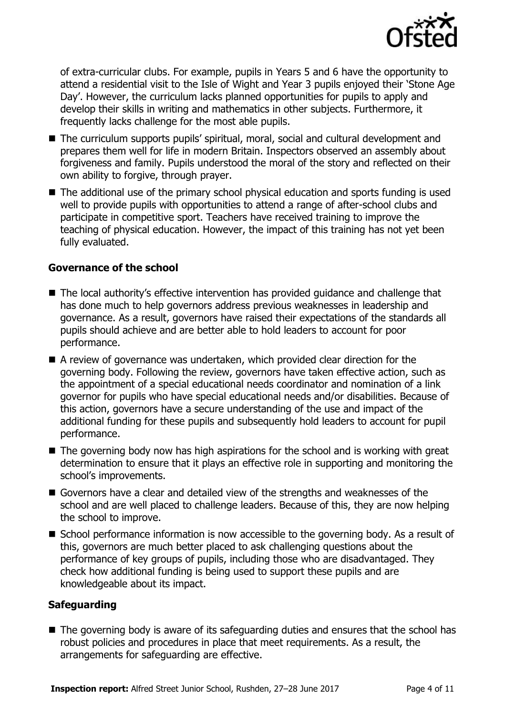

of extra-curricular clubs. For example, pupils in Years 5 and 6 have the opportunity to attend a residential visit to the Isle of Wight and Year 3 pupils enjoyed their 'Stone Age Day'. However, the curriculum lacks planned opportunities for pupils to apply and develop their skills in writing and mathematics in other subjects. Furthermore, it frequently lacks challenge for the most able pupils.

- The curriculum supports pupils' spiritual, moral, social and cultural development and prepares them well for life in modern Britain. Inspectors observed an assembly about forgiveness and family. Pupils understood the moral of the story and reflected on their own ability to forgive, through prayer.
- The additional use of the primary school physical education and sports funding is used well to provide pupils with opportunities to attend a range of after-school clubs and participate in competitive sport. Teachers have received training to improve the teaching of physical education. However, the impact of this training has not yet been fully evaluated.

### **Governance of the school**

- The local authority's effective intervention has provided quidance and challenge that has done much to help governors address previous weaknesses in leadership and governance. As a result, governors have raised their expectations of the standards all pupils should achieve and are better able to hold leaders to account for poor performance.
- A review of governance was undertaken, which provided clear direction for the governing body. Following the review, governors have taken effective action, such as the appointment of a special educational needs coordinator and nomination of a link governor for pupils who have special educational needs and/or disabilities. Because of this action, governors have a secure understanding of the use and impact of the additional funding for these pupils and subsequently hold leaders to account for pupil performance.
- $\blacksquare$  The governing body now has high aspirations for the school and is working with great determination to ensure that it plays an effective role in supporting and monitoring the school's improvements.
- Governors have a clear and detailed view of the strengths and weaknesses of the school and are well placed to challenge leaders. Because of this, they are now helping the school to improve.
- School performance information is now accessible to the governing body. As a result of this, governors are much better placed to ask challenging questions about the performance of key groups of pupils, including those who are disadvantaged. They check how additional funding is being used to support these pupils and are knowledgeable about its impact.

### **Safeguarding**

■ The governing body is aware of its safeguarding duties and ensures that the school has robust policies and procedures in place that meet requirements. As a result, the arrangements for safeguarding are effective.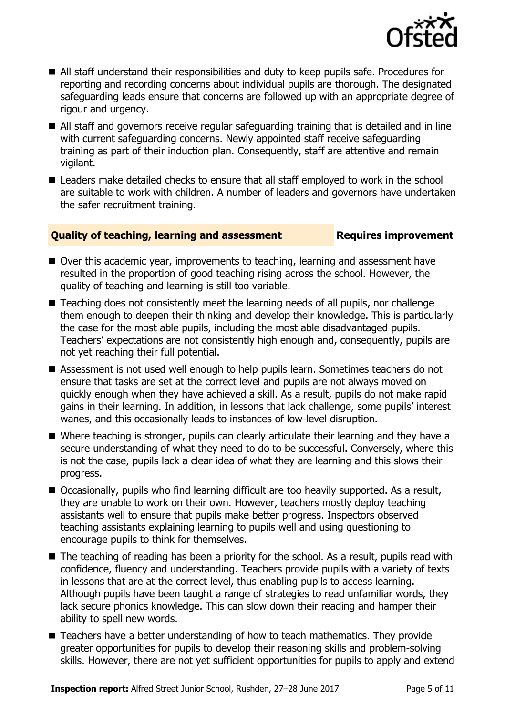

- All staff understand their responsibilities and duty to keep pupils safe. Procedures for reporting and recording concerns about individual pupils are thorough. The designated safeguarding leads ensure that concerns are followed up with an appropriate degree of rigour and urgency.
- All staff and governors receive regular safeguarding training that is detailed and in line with current safeguarding concerns. Newly appointed staff receive safeguarding training as part of their induction plan. Consequently, staff are attentive and remain vigilant.
- Leaders make detailed checks to ensure that all staff employed to work in the school are suitable to work with children. A number of leaders and governors have undertaken the safer recruitment training.

### **Quality of teaching, learning and assessment Fig. 2.1 Requires improvement**

- Over this academic year, improvements to teaching, learning and assessment have resulted in the proportion of good teaching rising across the school. However, the quality of teaching and learning is still too variable.
- Teaching does not consistently meet the learning needs of all pupils, nor challenge them enough to deepen their thinking and develop their knowledge. This is particularly the case for the most able pupils, including the most able disadvantaged pupils. Teachers' expectations are not consistently high enough and, consequently, pupils are not yet reaching their full potential.
- Assessment is not used well enough to help pupils learn. Sometimes teachers do not ensure that tasks are set at the correct level and pupils are not always moved on quickly enough when they have achieved a skill. As a result, pupils do not make rapid gains in their learning. In addition, in lessons that lack challenge, some pupils' interest wanes, and this occasionally leads to instances of low-level disruption.
- Where teaching is stronger, pupils can clearly articulate their learning and they have a secure understanding of what they need to do to be successful. Conversely, where this is not the case, pupils lack a clear idea of what they are learning and this slows their progress.
- Occasionally, pupils who find learning difficult are too heavily supported. As a result, they are unable to work on their own. However, teachers mostly deploy teaching assistants well to ensure that pupils make better progress. Inspectors observed teaching assistants explaining learning to pupils well and using questioning to encourage pupils to think for themselves.
- The teaching of reading has been a priority for the school. As a result, pupils read with confidence, fluency and understanding. Teachers provide pupils with a variety of texts in lessons that are at the correct level, thus enabling pupils to access learning. Although pupils have been taught a range of strategies to read unfamiliar words, they lack secure phonics knowledge. This can slow down their reading and hamper their ability to spell new words.
- Teachers have a better understanding of how to teach mathematics. They provide greater opportunities for pupils to develop their reasoning skills and problem-solving skills. However, there are not yet sufficient opportunities for pupils to apply and extend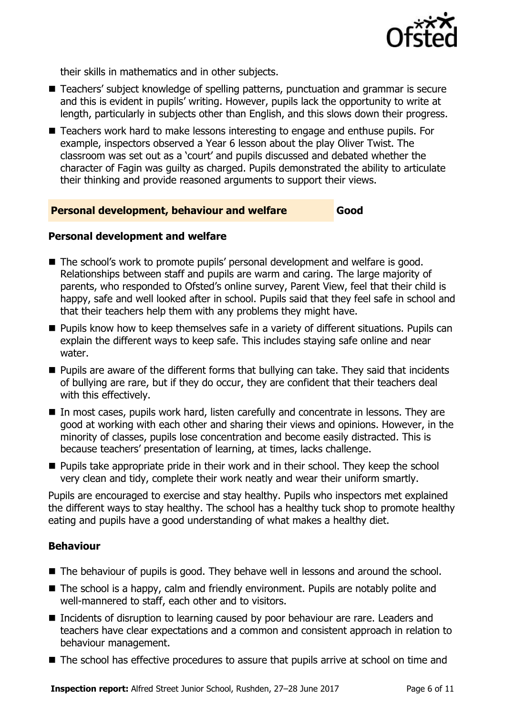

their skills in mathematics and in other subjects.

- Teachers' subject knowledge of spelling patterns, punctuation and grammar is secure and this is evident in pupils' writing. However, pupils lack the opportunity to write at length, particularly in subjects other than English, and this slows down their progress.
- Teachers work hard to make lessons interesting to engage and enthuse pupils. For example, inspectors observed a Year 6 lesson about the play Oliver Twist. The classroom was set out as a 'court' and pupils discussed and debated whether the character of Fagin was guilty as charged. Pupils demonstrated the ability to articulate their thinking and provide reasoned arguments to support their views.

### **Personal development, behaviour and welfare Good**

### **Personal development and welfare**

- The school's work to promote pupils' personal development and welfare is good. Relationships between staff and pupils are warm and caring. The large majority of parents, who responded to Ofsted's online survey, Parent View, feel that their child is happy, safe and well looked after in school. Pupils said that they feel safe in school and that their teachers help them with any problems they might have.
- **Pupils know how to keep themselves safe in a variety of different situations. Pupils can** explain the different ways to keep safe. This includes staying safe online and near water.
- **Pupils are aware of the different forms that bullying can take. They said that incidents** of bullying are rare, but if they do occur, they are confident that their teachers deal with this effectively.
- In most cases, pupils work hard, listen carefully and concentrate in lessons. They are good at working with each other and sharing their views and opinions. However, in the minority of classes, pupils lose concentration and become easily distracted. This is because teachers' presentation of learning, at times, lacks challenge.
- **Pupils take appropriate pride in their work and in their school. They keep the school.** very clean and tidy, complete their work neatly and wear their uniform smartly.

Pupils are encouraged to exercise and stay healthy. Pupils who inspectors met explained the different ways to stay healthy. The school has a healthy tuck shop to promote healthy eating and pupils have a good understanding of what makes a healthy diet.

### **Behaviour**

- The behaviour of pupils is good. They behave well in lessons and around the school.
- The school is a happy, calm and friendly environment. Pupils are notably polite and well-mannered to staff, each other and to visitors.
- Incidents of disruption to learning caused by poor behaviour are rare. Leaders and teachers have clear expectations and a common and consistent approach in relation to behaviour management.
- The school has effective procedures to assure that pupils arrive at school on time and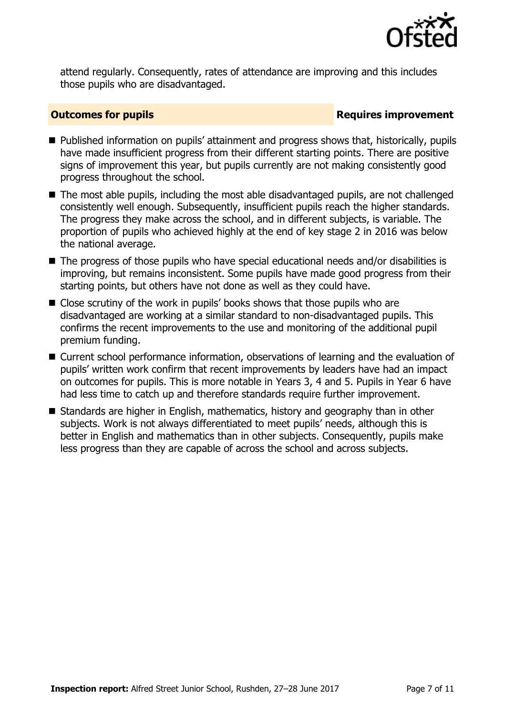

attend regularly. Consequently, rates of attendance are improving and this includes those pupils who are disadvantaged.

### **Outcomes for pupils Requires improvement**

- Published information on pupils' attainment and progress shows that, historically, pupils have made insufficient progress from their different starting points. There are positive signs of improvement this year, but pupils currently are not making consistently good progress throughout the school.
- The most able pupils, including the most able disadvantaged pupils, are not challenged consistently well enough. Subsequently, insufficient pupils reach the higher standards. The progress they make across the school, and in different subjects, is variable. The proportion of pupils who achieved highly at the end of key stage 2 in 2016 was below the national average.
- The progress of those pupils who have special educational needs and/or disabilities is improving, but remains inconsistent. Some pupils have made good progress from their starting points, but others have not done as well as they could have.
- Close scrutiny of the work in pupils' books shows that those pupils who are disadvantaged are working at a similar standard to non-disadvantaged pupils. This confirms the recent improvements to the use and monitoring of the additional pupil premium funding.
- Current school performance information, observations of learning and the evaluation of pupils' written work confirm that recent improvements by leaders have had an impact on outcomes for pupils. This is more notable in Years 3, 4 and 5. Pupils in Year 6 have had less time to catch up and therefore standards require further improvement.
- Standards are higher in English, mathematics, history and geography than in other subjects. Work is not always differentiated to meet pupils' needs, although this is better in English and mathematics than in other subjects. Consequently, pupils make less progress than they are capable of across the school and across subjects.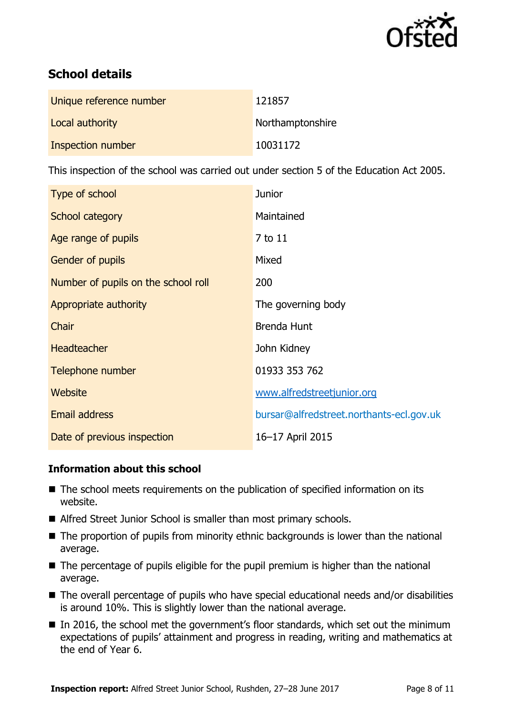

# **School details**

| Unique reference number | 121857           |
|-------------------------|------------------|
| Local authority         | Northamptonshire |
| Inspection number       | 10031172         |

This inspection of the school was carried out under section 5 of the Education Act 2005.

| Type of school                      | <b>Junior</b>                            |
|-------------------------------------|------------------------------------------|
| School category                     | Maintained                               |
| Age range of pupils                 | 7 to 11                                  |
| <b>Gender of pupils</b>             | Mixed                                    |
| Number of pupils on the school roll | 200                                      |
| Appropriate authority               | The governing body                       |
| Chair                               | <b>Brenda Hunt</b>                       |
| <b>Headteacher</b>                  | John Kidney                              |
| Telephone number                    | 01933 353 762                            |
| Website                             | www.alfredstreetjunior.org               |
| <b>Email address</b>                | bursar@alfredstreet.northants-ecl.gov.uk |
| Date of previous inspection         | 16-17 April 2015                         |

### **Information about this school**

- The school meets requirements on the publication of specified information on its website.
- Alfred Street Junior School is smaller than most primary schools.
- The proportion of pupils from minority ethnic backgrounds is lower than the national average.
- The percentage of pupils eligible for the pupil premium is higher than the national average.
- The overall percentage of pupils who have special educational needs and/or disabilities is around 10%. This is slightly lower than the national average.
- In 2016, the school met the government's floor standards, which set out the minimum expectations of pupils' attainment and progress in reading, writing and mathematics at the end of Year 6.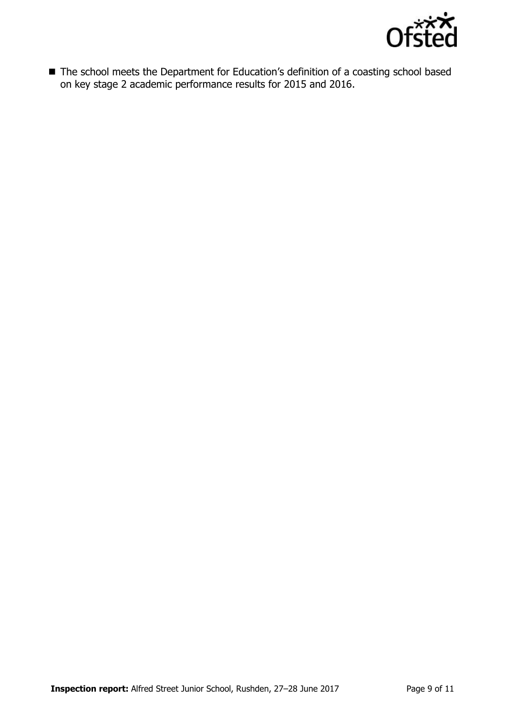

■ The school meets the Department for Education's definition of a coasting school based on key stage 2 academic performance results for 2015 and 2016.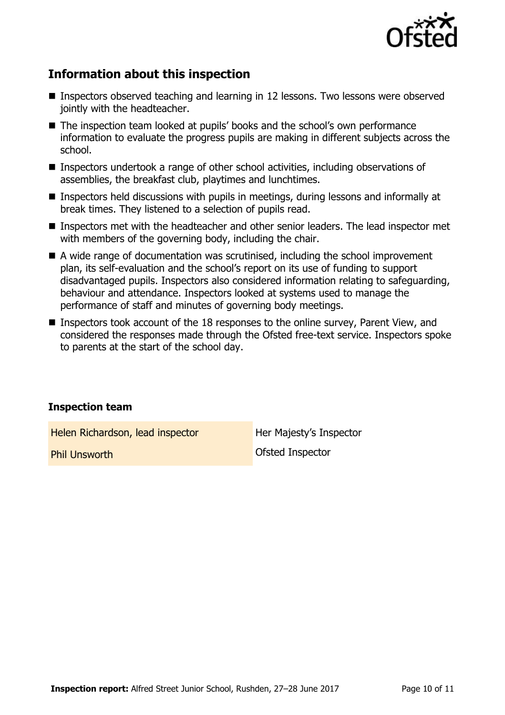

# **Information about this inspection**

- Inspectors observed teaching and learning in 12 lessons. Two lessons were observed jointly with the headteacher.
- The inspection team looked at pupils' books and the school's own performance information to evaluate the progress pupils are making in different subjects across the school.
- Inspectors undertook a range of other school activities, including observations of assemblies, the breakfast club, playtimes and lunchtimes.
- Inspectors held discussions with pupils in meetings, during lessons and informally at break times. They listened to a selection of pupils read.
- Inspectors met with the headteacher and other senior leaders. The lead inspector met with members of the governing body, including the chair.
- A wide range of documentation was scrutinised, including the school improvement plan, its self-evaluation and the school's report on its use of funding to support disadvantaged pupils. Inspectors also considered information relating to safeguarding, behaviour and attendance. Inspectors looked at systems used to manage the performance of staff and minutes of governing body meetings.
- Inspectors took account of the 18 responses to the online survey, Parent View, and considered the responses made through the Ofsted free-text service. Inspectors spoke to parents at the start of the school day.

### **Inspection team**

Helen Richardson, lead inspector Her Majesty's Inspector

**Phil Unsworth Communist Communist Communist Communist Constant Constant Communist Communist Communist Communist Communist Communist Communist Communist Communist Communist Communist Communist Communist Communist Communist**